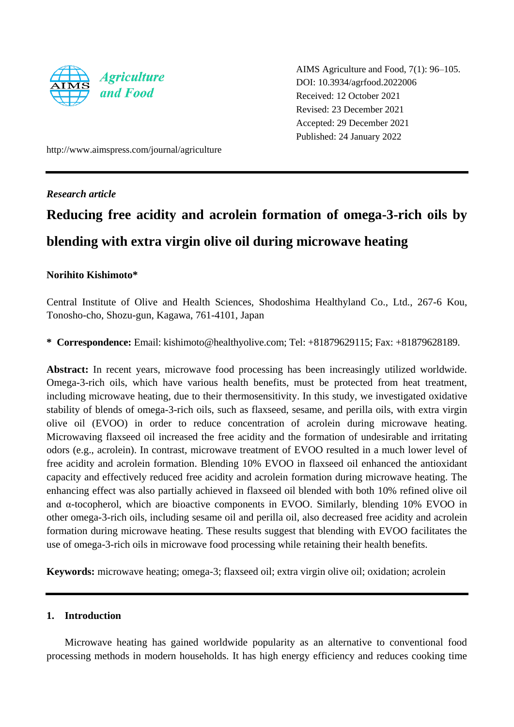

AIMS Agriculture and Food, 7(1): 96–105. DOI: 10.3934/agrfood.2022006 Received: 12 October 2021 Revised: 23 December 2021 Accepted: 29 December 2021 Published: 24 January 2022

http://www.aimspress.com/journal/agriculture

# *Research article*

# **Reducing free acidity and acrolein formation of omega-3-rich oils by blending with extra virgin olive oil during microwave heating**

# **Norihito Kishimoto\***

Central Institute of Olive and Health Sciences, Shodoshima Healthyland Co., Ltd., 267-6 Kou, Tonosho-cho, Shozu-gun, Kagawa, 761-4101, Japan

**\* Correspondence:** Email: kishimoto@healthyolive.com; Tel: +81879629115; Fax: +81879628189.

**Abstract:** In recent years, microwave food processing has been increasingly utilized worldwide. Omega-3-rich oils, which have various health benefits, must be protected from heat treatment, including microwave heating, due to their thermosensitivity. In this study, we investigated oxidative stability of blends of omega-3-rich oils, such as flaxseed, sesame, and perilla oils, with extra virgin olive oil (EVOO) in order to reduce concentration of acrolein during microwave heating. Microwaving flaxseed oil increased the free acidity and the formation of undesirable and irritating odors (e.g., acrolein). In contrast, microwave treatment of EVOO resulted in a much lower level of free acidity and acrolein formation. Blending 10% EVOO in flaxseed oil enhanced the antioxidant capacity and effectively reduced free acidity and acrolein formation during microwave heating. The enhancing effect was also partially achieved in flaxseed oil blended with both 10% refined olive oil and α-tocopherol, which are bioactive components in EVOO. Similarly, blending 10% EVOO in other omega-3-rich oils, including sesame oil and perilla oil, also decreased free acidity and acrolein formation during microwave heating. These results suggest that blending with EVOO facilitates the use of omega-3-rich oils in microwave food processing while retaining their health benefits.

**Keywords:** microwave heating; omega-3; flaxseed oil; extra virgin olive oil; oxidation; acrolein

# **1. Introduction**

Microwave heating has gained worldwide popularity as an alternative to conventional food processing methods in modern households. It has high energy efficiency and reduces cooking time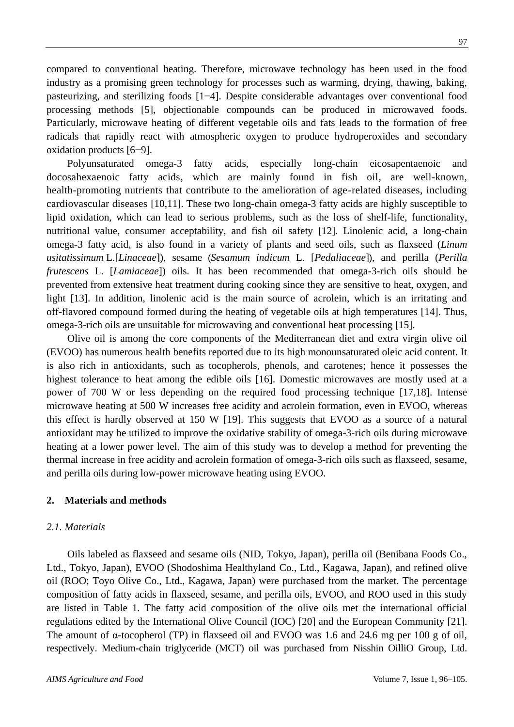compared to conventional heating. Therefore, microwave technology has been used in the food industry as a promising green technology for processes such as warming, drying, thawing, baking, pasteurizing, and sterilizing foods [1−4]. Despite considerable advantages over conventional food processing methods [5], objectionable compounds can be produced in microwaved foods. Particularly, microwave heating of different vegetable oils and fats leads to the formation of free radicals that rapidly react with atmospheric oxygen to produce hydroperoxides and secondary oxidation products [6−9].

Polyunsaturated omega-3 fatty acids, especially long-chain eicosapentaenoic and docosahexaenoic fatty acids, which are mainly found in fish oil, are well-known, health-promoting nutrients that contribute to the amelioration of age-related diseases, including cardiovascular diseases [10,11]. These two long-chain omega-3 fatty acids are highly susceptible to lipid oxidation, which can lead to serious problems, such as the loss of shelf-life, functionality, nutritional value, consumer acceptability, and fish oil safety [12]. Linolenic acid, a long-chain omega-3 fatty acid, is also found in a variety of plants and seed oils, such as flaxseed (*Linum usitatissimum* L.[*[Linaceae](https://en.wikipedia.org/wiki/Linaceae)*]), sesame (*Sesamum indicum* L. [*[Pedaliaceae](https://en.wikipedia.org/wiki/Pedaliaceae)*]), and perilla (*Perilla frutescens* L. [*[Lamiaceae](https://en.wikipedia.org/wiki/Lamiaceae)*]) oils. It has been recommended that omega-3-rich oils should be prevented from extensive heat treatment during cooking since they are sensitive to heat, oxygen, and light [13]. In addition, linolenic acid is the main source of acrolein, which is an irritating and off-flavored compound formed during the heating of vegetable oils at high temperatures [14]. Thus, omega-3-rich oils are unsuitable for microwaving and conventional heat processing [15].

Olive oil is among the core components of the Mediterranean diet and extra virgin olive oil (EVOO) has numerous health benefits reported due to its high monounsaturated oleic acid content. It is also rich in antioxidants, such as tocopherols, phenols, and carotenes; hence it possesses the highest tolerance to heat among the edible oils [16]. Domestic microwaves are mostly used at a power of 700 W or less depending on the required food processing technique [17,18]. Intense microwave heating at 500 W increases free acidity and acrolein formation, even in EVOO, whereas this effect is hardly observed at 150 W [19]. This suggests that EVOO as a source of a natural antioxidant may be utilized to improve the oxidative stability of omega-3-rich oils during microwave heating at a lower power level. The aim of this study was to develop a method for preventing the thermal increase in free acidity and acrolein formation of omega-3-rich oils such as flaxseed, sesame, and perilla oils during low-power microwave heating using EVOO.

# **2. Materials and methods**

# *2.1. Materials*

Oils labeled as flaxseed and sesame oils (NID, Tokyo, Japan), perilla oil (Benibana Foods Co., Ltd., Tokyo, Japan), EVOO (Shodoshima Healthyland Co., Ltd., Kagawa, Japan), and refined olive oil (ROO; Toyo Olive Co., Ltd., Kagawa, Japan) were purchased from the market. The percentage composition of fatty acids in flaxseed, sesame, and perilla oils, EVOO, and ROO used in this study are listed in Table 1. The fatty acid composition of the olive oils met the international official regulations edited by the International Olive Council (IOC) [20] and the European Community [21]. The amount of  $\alpha$ -tocopherol (TP) in flaxseed oil and EVOO was 1.6 and 24.6 mg per 100 g of oil, respectively. Medium-chain triglyceride (MCT) oil was purchased from Nisshin OilliO Group, Ltd.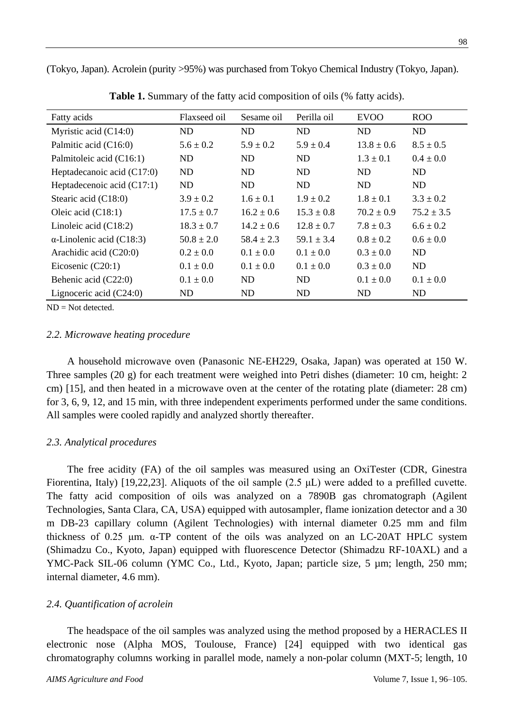(Tokyo, Japan). Acrolein (purity >95%) was purchased from Tokyo Chemical Industry (Tokyo, Japan).

| Fatty acids                      | Flaxseed oil   | Sesame oil     | Perilla oil    | <b>EVOO</b>    | <b>ROO</b>    |
|----------------------------------|----------------|----------------|----------------|----------------|---------------|
| Myristic acid $(C14:0)$          | ND             | <b>ND</b>      | ND.            | ND             | ND            |
| Palmitic acid (C16:0)            | $5.6 \pm 0.2$  | $5.9 \pm 0.2$  | $5.9 \pm 0.4$  | $13.8 \pm 0.6$ | $8.5 \pm 0.5$ |
| Palmitoleic acid (C16:1)         | ND.            | ND.            | ND.            | $1.3 \pm 0.1$  | $0.4 \pm 0.0$ |
| Heptadecanoic acid $(C17:0)$     | ND.            | ND.            | ND.            | ND             | ND            |
| Heptadecenoic acid $(C17:1)$     | ND             | ND             | ND             | ND             | ND            |
| Stearic acid (C18:0)             | $3.9 \pm 0.2$  | $1.6 \pm 0.1$  | $1.9 \pm 0.2$  | $1.8 \pm 0.1$  | $3.3 \pm 0.2$ |
| Oleic acid $(C18:1)$             | $17.5 \pm 0.7$ | $16.2 + 0.6$   | $15.3 \pm 0.8$ | $70.2 + 0.9$   | $75.2 + 3.5$  |
| Linoleic acid $(C18:2)$          | $18.3 \pm 0.7$ | $14.2 \pm 0.6$ | $12.8 \pm 0.7$ | $7.8 \pm 0.3$  | $6.6 \pm 0.2$ |
| $\alpha$ -Linolenic acid (C18:3) | $50.8 \pm 2.0$ | $58.4 \pm 2.3$ | $59.1 \pm 3.4$ | $0.8 \pm 0.2$  | $0.6 \pm 0.0$ |
| Arachidic acid $(C20:0)$         | $0.2 \pm 0.0$  | $0.1 \pm 0.0$  | $0.1 \pm 0.0$  | $0.3 \pm 0.0$  | ND            |
| Eicosenic $(C20:1)$              | $0.1 \pm 0.0$  | $0.1 \pm 0.0$  | $0.1 \pm 0.0$  | $0.3 \pm 0.0$  | ND.           |
| Behenic acid (C22:0)             | $0.1 \pm 0.0$  | ND             | ND.            | $0.1 \pm 0.0$  | $0.1 \pm 0.0$ |
| Lignoceric acid $(C24:0)$        | ND             | ND             | ND             | ND             | ND            |

**Table 1.** Summary of the fatty acid composition of oils (% fatty acids).

 $ND = Not detected.$ 

#### *2.2. Microwave heating procedure*

A household microwave oven (Panasonic NE-EH229, Osaka, Japan) was operated at 150 W. Three samples (20 g) for each treatment were weighed into Petri dishes (diameter: 10 cm, height: 2 cm) [15], and then heated in a microwave oven at the center of the rotating plate (diameter: 28 cm) for 3, 6, 9, 12, and 15 min, with three independent experiments performed under the same conditions. All samples were cooled rapidly and analyzed shortly thereafter.

## *2.3. Analytical procedures*

The free acidity (FA) of the oil samples was measured using an OxiTester (CDR, Ginestra Fiorentina, Italy) [19,22,23]. Aliquots of the oil sample (2.5 μL) were added to a prefilled cuvette. The fatty acid composition of oils was analyzed on a 7890B gas chromatograph (Agilent Technologies, Santa Clara, CA, USA) equipped with autosampler, flame ionization detector and a 30 m DB-23 capillary column (Agilent Technologies) with internal diameter 0.25 mm and film thickness of 0.25 μm. α-TP content of the oils was analyzed on an LC-20AT HPLC system (Shimadzu Co., Kyoto, Japan) equipped with fluorescence Detector (Shimadzu RF-10AXL) and a YMC-Pack SIL-06 column (YMC Co., Ltd., Kyoto, Japan; particle size, 5 µm; length, 250 mm; internal diameter, 4.6 mm).

## *2.4. Quantification of acrolein*

The headspace of the oil samples was analyzed using the method proposed by a HERACLES II electronic nose (Alpha MOS, Toulouse, France) [24] equipped with two identical gas chromatography columns working in parallel mode, namely a non-polar column (MXT-5; length, 10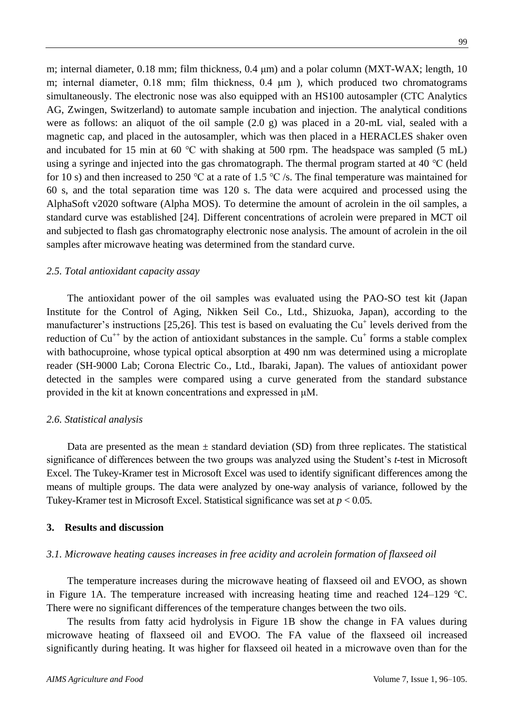m; internal diameter,  $0.18$  mm; film thickness,  $0.4 \mu m$ ) and a polar column (MXT-WAX; length, 10 m; internal diameter, 0.18 mm; film thickness, 0.4 μm), which produced two chromatograms simultaneously. The electronic nose was also equipped with an HS100 autosampler (CTC Analytics AG, Zwingen, Switzerland) to automate sample incubation and injection. The analytical conditions were as follows: an aliquot of the oil sample (2.0 g) was placed in a 20-mL vial, sealed with a magnetic cap, and placed in the autosampler, which was then placed in a HERACLES shaker oven and incubated for 15 min at 60 ℃ with shaking at 500 rpm. The headspace was sampled (5 mL) using a syringe and injected into the gas chromatograph. The thermal program started at 40 ℃ (held for 10 s) and then increased to 250 °C at a rate of 1.5 °C /s. The final temperature was maintained for 60 s, and the total separation time was 120 s. The data were acquired and processed using the AlphaSoft v2020 software (Alpha MOS). To determine the amount of acrolein in the oil samples, a standard curve was established [24]. Different concentrations of acrolein were prepared in MCT oil and subjected to flash gas chromatography electronic nose analysis. The amount of acrolein in the oil samples after microwave heating was determined from the standard curve.

#### *2.5. Total antioxidant capacity assay*

The antioxidant power of the oil samples was evaluated using the PAO-SO test kit (Japan Institute for the Control of Aging, Nikken Seil Co., Ltd., Shizuoka, Japan), according to the manufacturer's instructions [25,26]. This test is based on evaluating the  $Cu<sup>+</sup>$  levels derived from the reduction of  $Cu^{++}$  by the action of antioxidant substances in the sample.  $Cu^{+}$  forms a stable complex with bathocuproine, whose typical optical absorption at 490 nm was determined using a microplate reader (SH-9000 Lab; Corona Electric Co., Ltd., Ibaraki, Japan). The values of antioxidant power detected in the samples were compared using a curve generated from the standard substance provided in the kit at known concentrations and expressed in μM.

#### *2.6. Statistical analysis*

Data are presented as the mean  $\pm$  standard deviation (SD) from three replicates. The statistical significance of differences between the two groups was analyzed using the Student's *t*-test in Microsoft Excel. The Tukey-Kramer test in Microsoft Excel was used to identify significant differences among the means of multiple groups. The data were analyzed by one-way analysis of variance, followed by the Tukey-Kramer test in Microsoft Excel. Statistical significance was set at *p* < 0.05.

#### **3. Results and discussion**

#### *3.1. Microwave heating causes increases in free acidity and acrolein formation of flaxseed oil*

The temperature increases during the microwave heating of flaxseed oil and EVOO, as shown in Figure 1A. The temperature increased with increasing heating time and reached 124–129 ℃. There were no significant differences of the temperature changes between the two oils.

The results from fatty acid hydrolysis in Figure 1B show the change in FA values during microwave heating of flaxseed oil and EVOO. The FA value of the flaxseed oil increased significantly during heating. It was higher for flaxseed oil heated in a microwave oven than for the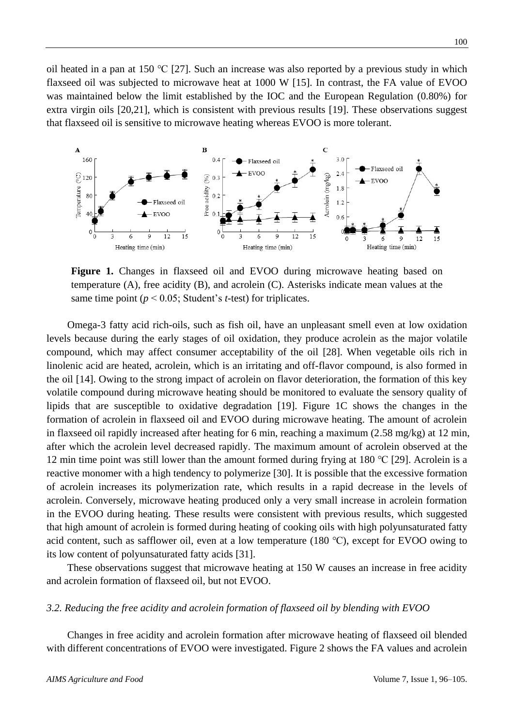oil heated in a pan at 150 ℃ [27]. Such an increase was also reported by a previous study in which flaxseed oil was subjected to microwave heat at 1000 W [15]. In contrast, the FA value of EVOO was maintained below the limit established by the IOC and the European Regulation (0.80%) for extra virgin oils [20,21], which is consistent with previous results [19]. These observations suggest that flaxseed oil is sensitive to microwave heating whereas EVOO is more tolerant.



**Figure 1.** Changes in flaxseed oil and EVOO during microwave heating based on temperature (A), free acidity (B), and acrolein (C). Asterisks indicate mean values at the same time point ( $p < 0.05$ ; Student's *t*-test) for triplicates.

Omega-3 fatty acid rich-oils, such as fish oil, have an unpleasant smell even at low oxidation levels because during the early stages of oil oxidation, they produce acrolein as the major volatile compound, which may affect consumer acceptability of the oil [28]. When vegetable oils rich in linolenic acid are heated, acrolein, which is an irritating and off-flavor compound, is also formed in the oil [14]. Owing to the strong impact of acrolein on flavor deterioration, the formation of this key volatile compound during microwave heating should be monitored to evaluate the sensory quality of lipids that are susceptible to oxidative degradation [19]. Figure 1C shows the changes in the formation of acrolein in flaxseed oil and EVOO during microwave heating. The amount of acrolein in flaxseed oil rapidly increased after heating for 6 min, reaching a maximum (2.58 mg/kg) at 12 min, after which the acrolein level decreased rapidly. The maximum amount of acrolein observed at the 12 min time point was still lower than the amount formed during frying at 180 ℃ [29]. Acrolein is a reactive monomer with a high tendency to polymerize [30]. It is possible that the excessive formation of acrolein increases its polymerization rate, which results in a rapid decrease in the levels of acrolein. Conversely, microwave heating produced only a very small increase in acrolein formation in the EVOO during heating. These results were consistent with previous results, which suggested that high amount of acrolein is formed during heating of cooking oils with high polyunsaturated fatty acid content, such as safflower oil, even at a low temperature (180 ℃), except for EVOO owing to its low content of polyunsaturated fatty acids [31].

These observations suggest that microwave heating at 150 W causes an increase in free acidity and acrolein formation of flaxseed oil, but not EVOO.

### *3.2. Reducing the free acidity and acrolein formation of flaxseed oil by blending with EVOO*

Changes in free acidity and acrolein formation after microwave heating of flaxseed oil blended with different concentrations of EVOO were investigated. Figure 2 shows the FA values and acrolein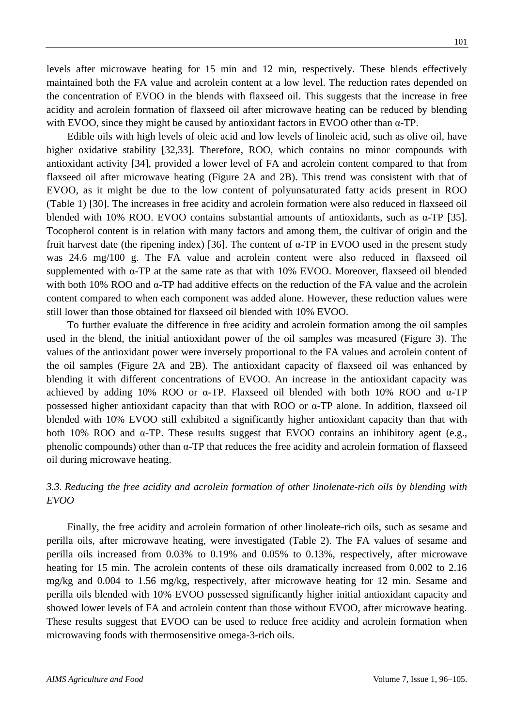levels after microwave heating for 15 min and 12 min, respectively. These blends effectively maintained both the FA value and acrolein content at a low level. The reduction rates depended on the concentration of EVOO in the blends with flaxseed oil. This suggests that the increase in free acidity and acrolein formation of flaxseed oil after microwave heating can be reduced by blending with EVOO, since they might be caused by antioxidant factors in EVOO other than  $\alpha$ -TP.

Edible oils with high levels of oleic acid and low levels of linoleic acid, such as olive oil, have higher oxidative stability [32,33]. Therefore, ROO, which contains no minor compounds with antioxidant activity [34], provided a lower level of FA and acrolein content compared to that from flaxseed oil after microwave heating (Figure 2A and 2B). This trend was consistent with that of EVOO, as it might be due to the low content of polyunsaturated fatty acids present in ROO (Table 1) [30]. The increases in free acidity and acrolein formation were also reduced in flaxseed oil blended with 10% ROO. EVOO contains substantial amounts of antioxidants, such as  $\alpha$ -TP [35]. Tocopherol content is in relation with many factors and among them, the cultivar of origin and the fruit harvest date (the ripening index) [36]. The content of α-TP in EVOO used in the present study was 24.6 mg/100 g. The FA value and acrolein content were also reduced in flaxseed oil supplemented with α-TP at the same rate as that with 10% EVOO. Moreover, flaxseed oil blended with both 10% ROO and  $\alpha$ -TP had additive effects on the reduction of the FA value and the acrolein content compared to when each component was added alone. However, these reduction values were still lower than those obtained for flaxseed oil blended with 10% EVOO.

To further evaluate the difference in free acidity and acrolein formation among the oil samples used in the blend, the initial antioxidant power of the oil samples was measured (Figure 3). The values of the antioxidant power were inversely proportional to the FA values and acrolein content of the oil samples (Figure 2A and 2B). The antioxidant capacity of flaxseed oil was enhanced by blending it with different concentrations of EVOO. An increase in the antioxidant capacity was achieved by adding 10% ROO or  $\alpha$ -TP. Flaxseed oil blended with both 10% ROO and  $\alpha$ -TP possessed higher antioxidant capacity than that with ROO or α-TP alone. In addition, flaxseed oil blended with 10% EVOO still exhibited a significantly higher antioxidant capacity than that with both 10% ROO and  $\alpha$ -TP. These results suggest that EVOO contains an inhibitory agent (e.g., phenolic compounds) other than α-TP that reduces the free acidity and acrolein formation of flaxseed oil during microwave heating.

# *3.3. Reducing the free acidity and acrolein formation of other linolenate-rich oils by blending with EVOO*

Finally, the free acidity and acrolein formation of other linoleate-rich oils, such as sesame and perilla oils, after microwave heating, were investigated (Table 2). The FA values of sesame and perilla oils increased from 0.03% to 0.19% and 0.05% to 0.13%, respectively, after microwave heating for 15 min. The acrolein contents of these oils dramatically increased from 0.002 to 2.16 mg/kg and 0.004 to 1.56 mg/kg, respectively, after microwave heating for 12 min. Sesame and perilla oils blended with 10% EVOO possessed significantly higher initial antioxidant capacity and showed lower levels of FA and acrolein content than those without EVOO, after microwave heating. These results suggest that EVOO can be used to reduce free acidity and acrolein formation when microwaving foods with thermosensitive omega-3-rich oils.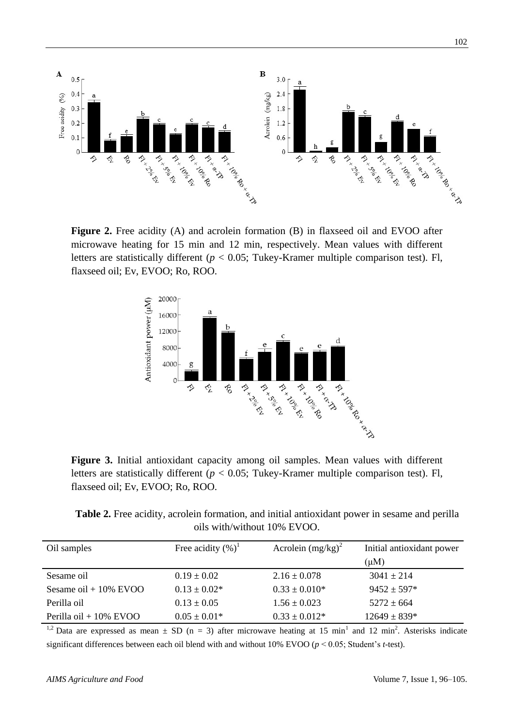

**Figure 2.** Free acidity (A) and acrolein formation (B) in flaxseed oil and EVOO after microwave heating for 15 min and 12 min, respectively. Mean values with different letters are statistically different (*p* < 0.05; Tukey-Kramer multiple comparison test). Fl, flaxseed oil; Ev, EVOO; Ro, ROO.



**Figure 3.** Initial antioxidant capacity among oil samples. Mean values with different letters are statistically different (*p* < 0.05; Tukey-Kramer multiple comparison test). Fl, flaxseed oil; Ev, EVOO; Ro, ROO.

**Table 2.** Free acidity, acrolein formation, and initial antioxidant power in sesame and perilla oils with/without 10% EVOO.

| Oil samples               | Free acidity $(\%)^1$ | Acrolein $(mg/kg)^2$ | Initial antioxidant power |
|---------------------------|-----------------------|----------------------|---------------------------|
|                           |                       |                      | $(\mu M)$                 |
| Sesame oil                | $0.19 \pm 0.02$       | $2.16 \pm 0.078$     | $3041 \pm 214$            |
| Sesame oil + $10\%$ EVOO  | $0.13 \pm 0.02^*$     | $0.33 \pm 0.010*$    | $9452 \pm 597*$           |
| Perilla oil               | $0.13 \pm 0.05$       | $1.56 \pm 0.023$     | $5272 \pm 664$            |
| Perilla oil + $10\%$ EVOO | $0.05 \pm 0.01*$      | $0.33 \pm 0.012*$    | $12649 \pm 839*$          |

<sup>1,2</sup> Data are expressed as mean  $\pm$  SD (n = 3) after microwave heating at 15 min<sup>1</sup> and 12 min<sup>2</sup>. Asterisks indicate significant differences between each oil blend with and without 10% EVOO (*p* < 0.05; Student's *t*-test).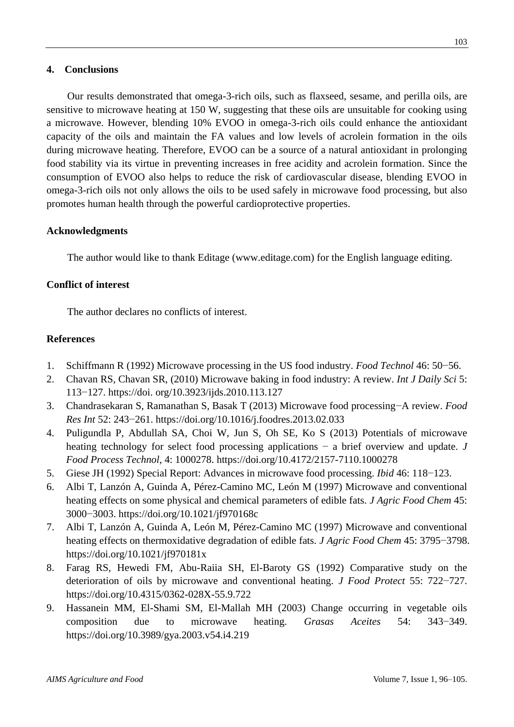# **4. Conclusions**

Our results demonstrated that omega-3-rich oils, such as flaxseed, sesame, and perilla oils, are sensitive to microwave heating at 150 W, suggesting that these oils are unsuitable for cooking using a microwave. However, blending 10% EVOO in omega-3-rich oils could enhance the antioxidant capacity of the oils and maintain the FA values and low levels of acrolein formation in the oils during microwave heating. Therefore, EVOO can be a source of a natural antioxidant in prolonging food stability via its virtue in preventing increases in free acidity and acrolein formation. Since the consumption of EVOO also helps to reduce the risk of cardiovascular disease, blending EVOO in omega-3-rich oils not only allows the oils to be used safely in microwave food processing, but also promotes human health through the powerful cardioprotective properties.

## **Acknowledgments**

The author would like to thank Editage (www.editage.com) for the English language editing.

# **Conflict of interest**

The author declares no conflicts of interest.

# **References**

- 1. Schiffmann R (1992) Microwave processing in the US food industry. *Food Technol* 46: 50−56.
- 2. Chavan RS, Chavan SR, (2010) Microwave baking in food industry: A review. *Int J Daily Sci* 5: 113−127. https://doi. org/10.3923/ijds.2010.113.127
- 3. Chandrasekaran S, Ramanathan S, Basak T (2013) Microwave food processing−A review. *Food Res Int* 52: 243−261. https://doi.org/10.1016/j.foodres.2013.02.033
- 4. Puligundla P, Abdullah SA, Choi W, Jun S, Oh SE, Ko S (2013) Potentials of microwave heating technology for select food processing applications − a brief overview and update. *J Food Process Technol*, 4: 1000278. https://doi.org/10.4172/2157-7110.1000278
- 5. Giese JH (1992) Special Report: Advances in microwave food processing. *Ibid* 46: 118−123.
- 6. Albi T, Lanzón A, Guinda A, Pérez-Camino MC, León M (1997) Microwave and conventional heating effects on some physical and chemical parameters of edible fats. *J Agric Food Chem* 45: 3000−3003. <https://doi.org/10.1021/jf970168c>
- 7. Albi T, Lanzón A, Guinda A, León M, Pérez-Camino MC (1997) Microwave and conventional heating effects on thermoxidative degradation of edible fats. *J Agric Food Chem* 45: 3795−3798. https://doi.org/10.1021/jf970181x
- 8. Farag RS, Hewedi FM, Abu-Raiia SH, El-Baroty GS (1992) Comparative study on the deterioration of oils by microwave and conventional heating. *J Food Protect* 55: 722−727. [https://doi.org/10.4315/0362-028X-55.9.722](https://doi.org/)
- 9. Hassanein MM, El-Shami SM, El-Mallah MH (2003) Change occurring in vegetable oils composition due to microwave heating. *Grasas Aceites* 54: 343−349. <https://doi.org/10.3989/gya.2003.v54.i4.219>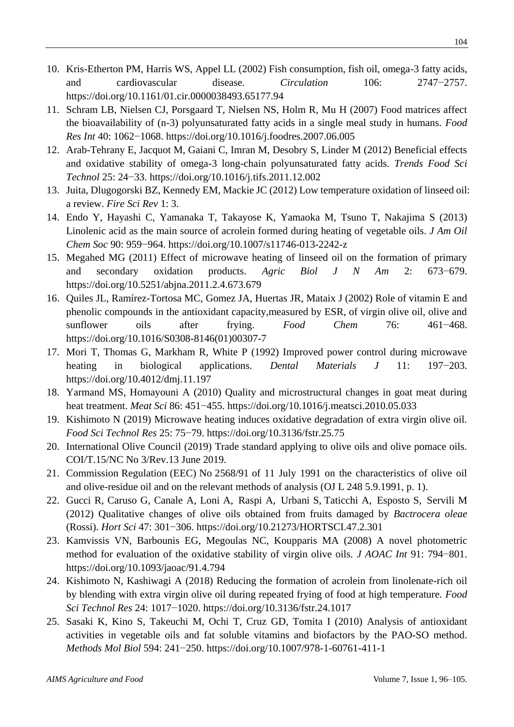- 10. Kris-Etherton PM, Harris WS, Appel LL (2002) Fish consumption, fish oil, omega-3 fatty acids, and cardiovascular disease. *Circulation* 106: 2747−2757. https://doi.org/10.1161/01.cir.0000038493.65177.94
- 11. Schram LB, Nielsen CJ, Porsgaard T, Nielsen NS, Holm R, Mu H (2007) Food matrices affect the bioavailability of (n-3) polyunsaturated fatty acids in a single meal study in humans. *Food Res Int* 40: 1062−1068. https://doi.org/10.1016/j.foodres.2007.06.005
- 12. Arab-Tehrany E, Jacquot M, Gaiani C, Imran M, Desobry S, Linder M (2012) Beneficial effects and oxidative stability of omega-3 long-chain polyunsaturated fatty acids. *Trends Food Sci Technol* 25: 24−33. <https://doi.org/10.1016/j.tifs.2011.12.002>
- 13. Juita, Dlugogorski BZ, Kennedy EM, Mackie JC (2012) Low temperature oxidation of linseed oil: a review. *Fire Sci Rev* 1: 3.
- 14. Endo Y, Hayashi C, Yamanaka T, Takayose K, Yamaoka M, Tsuno T, Nakajima S (2013) Linolenic acid as the main source of acrolein formed during heating of vegetable oils. *J Am Oil Chem Soc* 90: 959−964. <https://doi.org/10.1007/s11746-013-2242-z>
- 15. Megahed MG (2011) Effect of microwave heating of linseed oil on the formation of primary and secondary oxidation products. *Agric Biol J N Am* 2: 673−679. https://doi.org/10.5251/abjna.2011.2.4.673.679
- 16. Quiles JL, Ramírez-Tortosa MC, Gomez JA, Huertas JR, Mataix J (2002) Role of vitamin E and phenolic compounds in the antioxidant capacity,measured by ESR, of virgin olive oil, olive and sunflower oils after frying. *Food Chem* 76: 461−468. [https://doi.org/10.1016/S0308-8146\(01\)00307-7](https://doi.org/10.1016/S0308-8146(01)00307-7)
- 17. Mori T, Thomas G, Markham R, White P (1992) Improved power control during microwave heating in biological applications. *Dental Materials J* 11: 197−203. https://doi.org/10.4012/dmj.11.197
- 18. Yarmand MS, Homayouni A (2010) Quality and microstructural changes in goat meat during heat treatment. *Meat Sci* 86: 451−455. https://doi.org/10.1016/j.meatsci.2010.05.033
- 19. Kishimoto N (2019) Microwave heating induces oxidative degradation of extra virgin olive oil. *Food Sci Technol Res* 25: 75−79. https://doi.org[/10.3136/fstr.25.75](http://dx.doi.org/10.3136/fstr.25.75)
- 20. International Olive Council (2019) Trade standard applying to olive oils and olive pomace oils. COI/T.15/NC No 3/Rev.13 June 2019.
- 21. Commission Regulation (EEC) No 2568/91 of 11 July 1991 [on the characteristics of olive oil](https://eur-lex.europa.eu/legal-content/EN/AUTO/?uri=celex:31991R2568)  [and olive-residue oil and on the relevant methods of analysis](https://eur-lex.europa.eu/legal-content/EN/AUTO/?uri=celex:31991R2568) (OJ L 248 5.9.1991, p. 1).
- 22. Gucci R, Caruso G, Canale A, [Loni A,](https://www.cabdirect.org/cabdirect/search/?q=au%3a%22Loni%2c+A.%22) [Raspi A,](https://www.cabdirect.org/cabdirect/search/?q=au%3a%22Raspi%2c+A.%22) [Urbani S,](https://www.cabdirect.org/cabdirect/search/?q=au%3a%22Urbani%2c+S.%22) [Taticchi A,](https://www.cabdirect.org/cabdirect/search/?q=au%3a%22Taticchi%2c+A.%22) [Esposto S,](https://www.cabdirect.org/cabdirect/search/?q=au%3a%22Esposto%2c+S.%22) [Servili M](https://www.cabdirect.org/cabdirect/search/?q=au%3a%22Servili%2c+M.%22) (2012) Qualitative changes of olive oils obtained from fruits damaged by *Bactrocera oleae* (Rossi). *Hort Sci* 47: 301−306. https://doi.org/10.21273/HORTSCI.47.2.301
- 23. Kamvissis VN, Barbounis EG, Megoulas NC, Koupparis MA (2008) A novel photometric method for evaluation of the oxidative stability of virgin olive oils. *J AOAC Int* 91: 794−801. https://doi.org/10.1093/jaoac/91.4.794
- 24. Kishimoto N, Kashiwagi A (2018) Reducing the formation of acrolein from linolenate-rich oil by blending with extra virgin olive oil during repeated frying of food at high temperature. *Food Sci Technol Res* 24: 1017−1020. https://doi.org/10.3136/fstr.24.1017
- 25. Sasaki K, Kino S, Takeuchi M, Ochi T, Cruz GD, Tomita I (2010) Analysis of antioxidant activities in vegetable oils and fat soluble vitamins and biofactors by the PAO-SO method. *Methods Mol Biol* 594: 241−250. https://doi.org/10.1007/978-1-60761-411-1